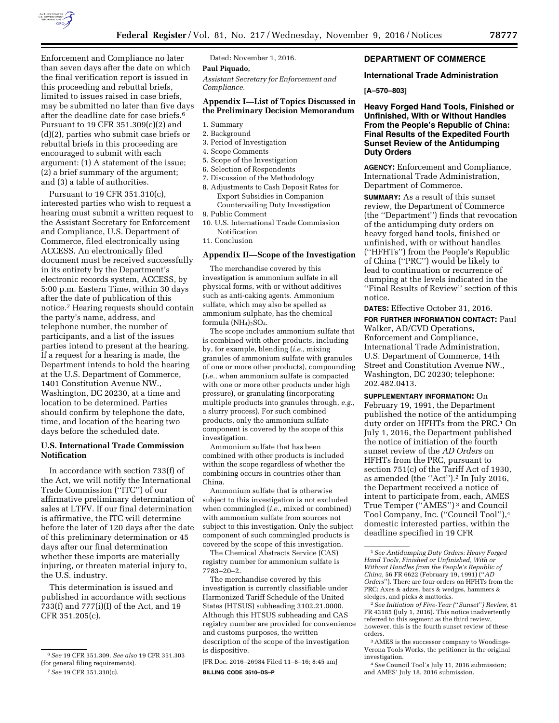

Enforcement and Compliance no later than seven days after the date on which the final verification report is issued in this proceeding and rebuttal briefs, limited to issues raised in case briefs, may be submitted no later than five days after the deadline date for case briefs.6 Pursuant to 19 CFR 351.309(c)(2) and (d)(2), parties who submit case briefs or rebuttal briefs in this proceeding are encouraged to submit with each argument: (1) A statement of the issue; (2) a brief summary of the argument; and (3) a table of authorities.

Pursuant to 19 CFR 351.310(c), interested parties who wish to request a hearing must submit a written request to the Assistant Secretary for Enforcement and Compliance, U.S. Department of Commerce, filed electronically using ACCESS. An electronically filed document must be received successfully in its entirety by the Department's electronic records system, ACCESS, by 5:00 p.m. Eastern Time, within 30 days after the date of publication of this notice.7 Hearing requests should contain the party's name, address, and telephone number, the number of participants, and a list of the issues parties intend to present at the hearing. If a request for a hearing is made, the Department intends to hold the hearing at the U.S. Department of Commerce, 1401 Constitution Avenue NW., Washington, DC 20230, at a time and location to be determined. Parties should confirm by telephone the date, time, and location of the hearing two days before the scheduled date.

## **U.S. International Trade Commission Notification**

In accordance with section 733(f) of the Act, we will notify the International Trade Commission (''ITC'') of our affirmative preliminary determination of sales at LTFV. If our final determination is affirmative, the ITC will determine before the later of 120 days after the date of this preliminary determination or 45 days after our final determination whether these imports are materially injuring, or threaten material injury to, the U.S. industry.

This determination is issued and published in accordance with sections 733(f) and 777(i)(I) of the Act, and 19 CFR 351.205(c).

Dated: November 1, 2016.

# **Paul Piquado,**

*Assistant Secretary for Enforcement and Compliance.* 

### **Appendix I—List of Topics Discussed in the Preliminary Decision Memorandum**

- 1. Summary
- 2. Background
- 3. Period of Investigation
- 4. Scope Comments
- 5. Scope of the Investigation
- 6. Selection of Respondents
- 7. Discussion of the Methodology
- 8. Adjustments to Cash Deposit Rates for Export Subsidies in Companion Countervailing Duty Investigation
- 9. Public Comment
- 10. U.S. International Trade Commission Notification

11. Conclusion

### **Appendix II—Scope of the Investigation**

The merchandise covered by this investigation is ammonium sulfate in all physical forms, with or without additives such as anti-caking agents. Ammonium sulfate, which may also be spelled as ammonium sulphate, has the chemical formula  $(NH_4)_2SO_4$ .

The scope includes ammonium sulfate that is combined with other products, including by, for example, blending (*i.e.,* mixing granules of ammonium sulfate with granules of one or more other products), compounding (*i.e.,* when ammonium sulfate is compacted with one or more other products under high pressure), or granulating (incorporating multiple products into granules through, *e.g.,*  a slurry process). For such combined products, only the ammonium sulfate component is covered by the scope of this investigation.

Ammonium sulfate that has been combined with other products is included within the scope regardless of whether the combining occurs in countries other than China.

Ammonium sulfate that is otherwise subject to this investigation is not excluded when commingled (*i.e.,* mixed or combined) with ammonium sulfate from sources not subject to this investigation. Only the subject component of such commingled products is covered by the scope of this investigation.

The Chemical Abstracts Service (CAS) registry number for ammonium sulfate is 7783–20–2.

The merchandise covered by this investigation is currently classifiable under Harmonized Tariff Schedule of the United States (HTSUS) subheading 3102.21.0000. Although this HTSUS subheading and CAS registry number are provided for convenience and customs purposes, the written description of the scope of the investigation is dispositive.

[FR Doc. 2016–26984 Filed 11–8–16; 8:45 am] **BILLING CODE 3510–DS–P** 

## **DEPARTMENT OF COMMERCE**

### **International Trade Administration**

### **[A–570–803]**

**Heavy Forged Hand Tools, Finished or Unfinished, With or Without Handles From the People's Republic of China: Final Results of the Expedited Fourth Sunset Review of the Antidumping Duty Orders** 

**AGENCY:** Enforcement and Compliance, International Trade Administration, Department of Commerce.

**SUMMARY:** As a result of this sunset review, the Department of Commerce (the ''Department'') finds that revocation of the antidumping duty orders on heavy forged hand tools, finished or unfinished, with or without handles (''HFHTs'') from the People's Republic of China (''PRC'') would be likely to lead to continuation or recurrence of dumping at the levels indicated in the ''Final Results of Review'' section of this notice.

**DATES:** Effective October 31, 2016.

**FOR FURTHER INFORMATION CONTACT:** Paul Walker, AD/CVD Operations, Enforcement and Compliance, International Trade Administration, U.S. Department of Commerce, 14th Street and Constitution Avenue NW., Washington, DC 20230; telephone: 202.482.0413.

**SUPPLEMENTARY INFORMATION:** On February 19, 1991, the Department published the notice of the antidumping duty order on HFHTs from the PRC.<sup>1</sup> On July 1, 2016, the Department published the notice of initiation of the fourth sunset review of the *AD Orders* on HFHTs from the PRC, pursuant to section 751(c) of the Tariff Act of 1930, as amended (the ''Act'').2 In July 2016, the Department received a notice of intent to participate from, each, AMES True Temper (''AMES'') 3 and Council Tool Company, Inc. (''Council Tool''),4 domestic interested parties, within the deadline specified in 19 CFR

2*See Initiation of Five-Year (*''*Sunset*''*) Review,* 81 FR 43185 (July 1, 2016). This notice inadvertently referred to this segment as the third review, however, this is the fourth sunset review of these orders.

4*See* Council Tool's July 11, 2016 submission; and AMES' July 18, 2016 submission.

<sup>6</sup>*See* 19 CFR 351.309. *See also* 19 CFR 351.303 (for general filing requirements).

<sup>7</sup>*See* 19 CFR 351.310(c).

<sup>1</sup>*See Antidumping Duty Orders: Heavy Forged Hand Tools, Finished or Unfinished, With or Without Handles from the People's Republic of China,* 56 FR 6622 (February 19, 1991) (''*AD Orders*''). There are four orders on HFHTs from the PRC: Axes & adzes, bars & wedges, hammers & sledges, and picks & mattocks.

<sup>3</sup>AMES is the successor company to Woodings-Verona Tools Works, the petitioner in the original investigation.